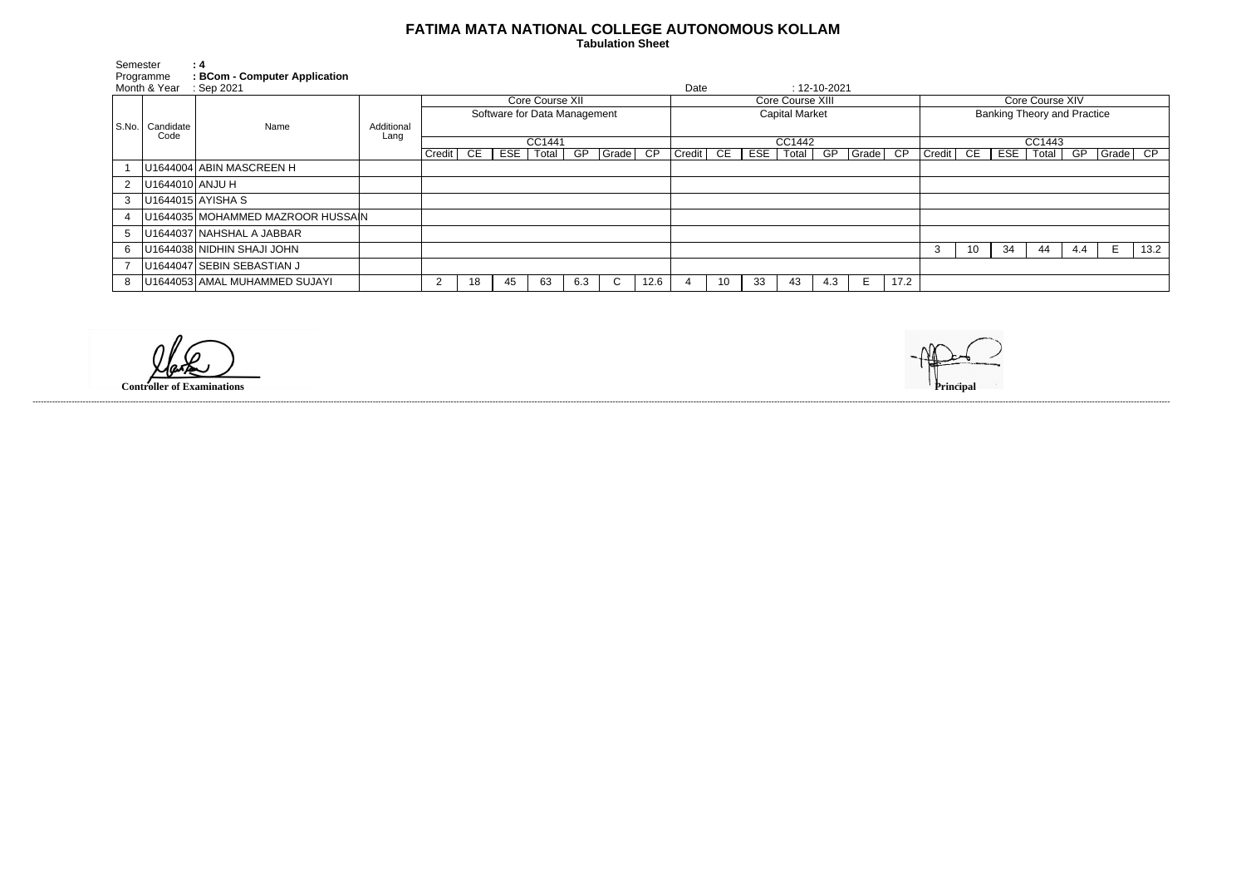## **FATIMA MATA NATIONAL COLLEGE AUTONOMOUS KOLLAM**

 **Tabulation Sheet** 

| Semester<br>Programme |                           | : 4<br>: BCom - Computer Application |                    |                              |    |    |             |     |       |                       |        |    |     |       |                    |            |                                    |                |    |            |               |     |          |      |
|-----------------------|---------------------------|--------------------------------------|--------------------|------------------------------|----|----|-------------|-----|-------|-----------------------|--------|----|-----|-------|--------------------|------------|------------------------------------|----------------|----|------------|---------------|-----|----------|------|
| Month & Year          |                           | $\therefore$ Sep 2021                |                    |                              |    |    |             |     |       |                       | Date   |    |     |       | $: 12 - 10 - 2021$ |            |                                    |                |    |            |               |     |          |      |
|                       | S.No.   Candidate<br>Code | Name                                 | Additional<br>Lang | Core Course XII              |    |    |             |     |       | Core Course XIII      |        |    |     |       |                    |            | Core Course XIV                    |                |    |            |               |     |          |      |
|                       |                           |                                      |                    | Software for Data Management |    |    |             |     |       | <b>Capital Market</b> |        |    |     |       |                    |            | <b>Banking Theory and Practice</b> |                |    |            |               |     |          |      |
|                       |                           |                                      |                    |                              |    |    |             |     |       |                       |        |    |     |       |                    |            |                                    |                |    |            |               |     |          |      |
|                       |                           |                                      |                    | CC1441                       |    |    |             |     |       | CC1442                |        |    |     |       |                    |            | CC1443                             |                |    |            |               |     |          |      |
|                       |                           |                                      |                    | Credit                       | CE |    | ESE   Total | GP  | Grade | CP                    | Credit | CE | ESE | Total |                    | GP   Grade | CP                                 | $ $ Credit $ $ | CE | <b>ESE</b> | Total $\vert$ | GP  | Grade CP |      |
|                       |                           | U1644004 ABIN MASCREEN H             |                    |                              |    |    |             |     |       |                       |        |    |     |       |                    |            |                                    |                |    |            |               |     |          |      |
| $\mathbf{2}$          | U1644010 ANJU H           |                                      |                    |                              |    |    |             |     |       |                       |        |    |     |       |                    |            |                                    |                |    |            |               |     |          |      |
| $3-1$                 |                           | U1644015 AYISHA S                    |                    |                              |    |    |             |     |       |                       |        |    |     |       |                    |            |                                    |                |    |            |               |     |          |      |
|                       |                           | U1644035 MOHAMMED MAZROOR HUSSAIN    |                    |                              |    |    |             |     |       |                       |        |    |     |       |                    |            |                                    |                |    |            |               |     |          |      |
| 5                     |                           | U1644037 NAHSHAL A JABBAR            |                    |                              |    |    |             |     |       |                       |        |    |     |       |                    |            |                                    |                |    |            |               |     |          |      |
| 6                     |                           | U1644038 NIDHIN SHAJI JOHN           |                    |                              |    |    |             |     |       |                       |        |    |     |       |                    |            |                                    | د.             | 10 | 34         | 44            | 4.4 | E.       | 13.2 |
|                       |                           | U1644047 SEBIN SEBASTIAN J           |                    |                              |    |    |             |     |       |                       |        |    |     |       |                    |            |                                    |                |    |            |               |     |          |      |
| 8                     |                           | U1644053 AMAL MUHAMMED SUJAYI        |                    | っ                            | 18 | 45 | 63          | 6.3 |       | 12.6                  |        | 10 | 33  | 43    | 4.3                | Е          | 17.2                               |                |    |            |               |     |          |      |

**Controller of Examinations** 

------------------------------------------------------------------------------------------------------------------------------------------------------------------------------------------------------------------------------------------------------------------------------------------------------------------------------------------------------------------------------------------------------------------------